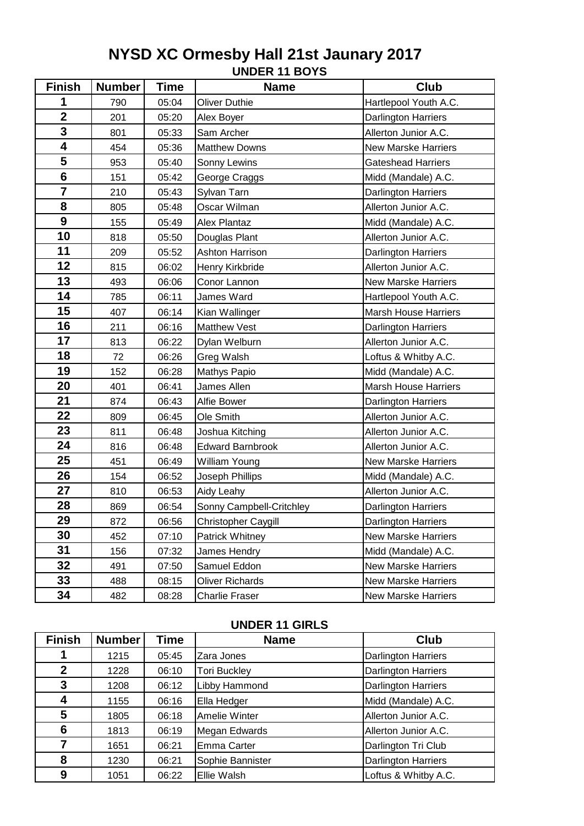# **UNDER 11 BOYS NYSD XC Ormesby Hall 21st Jaunary 2017**

| <b>Finish</b>           | <b>Number</b> | <b>Time</b> | <b>Name</b>              | Club                        |
|-------------------------|---------------|-------------|--------------------------|-----------------------------|
| 1                       | 790           | 05:04       | <b>Oliver Duthie</b>     | Hartlepool Youth A.C.       |
| $\overline{2}$          | 201           | 05:20       | Alex Boyer               | <b>Darlington Harriers</b>  |
| 3                       | 801           | 05:33       | Sam Archer               | Allerton Junior A.C.        |
| $\overline{\mathbf{4}}$ | 454           | 05:36       | <b>Matthew Downs</b>     | <b>New Marske Harriers</b>  |
| 5                       | 953           | 05:40       | Sonny Lewins             | <b>Gateshead Harriers</b>   |
| $6\phantom{1}$          | 151           | 05:42       | George Craggs            | Midd (Mandale) A.C.         |
| $\overline{7}$          | 210           | 05:43       | Sylvan Tarn              | Darlington Harriers         |
| 8                       | 805           | 05:48       | Oscar Wilman             | Allerton Junior A.C.        |
| 9                       | 155           | 05:49       | <b>Alex Plantaz</b>      | Midd (Mandale) A.C.         |
| 10                      | 818           | 05:50       | Douglas Plant            | Allerton Junior A.C.        |
| 11                      | 209           | 05:52       | <b>Ashton Harrison</b>   | Darlington Harriers         |
| 12                      | 815           | 06:02       | Henry Kirkbride          | Allerton Junior A.C.        |
| 13                      | 493           | 06:06       | Conor Lannon             | <b>New Marske Harriers</b>  |
| 14                      | 785           | 06:11       | James Ward               | Hartlepool Youth A.C.       |
| 15                      | 407           | 06:14       | Kian Wallinger           | <b>Marsh House Harriers</b> |
| 16                      | 211           | 06:16       | <b>Matthew Vest</b>      | Darlington Harriers         |
| 17                      | 813           | 06:22       | Dylan Welburn            | Allerton Junior A.C.        |
| 18                      | 72            | 06:26       | Greg Walsh               | Loftus & Whitby A.C.        |
| 19                      | 152           | 06:28       | Mathys Papio             | Midd (Mandale) A.C.         |
| 20                      | 401           | 06:41       | James Allen              | <b>Marsh House Harriers</b> |
| 21                      | 874           | 06:43       | Alfie Bower              | Darlington Harriers         |
| 22                      | 809           | 06:45       | Ole Smith                | Allerton Junior A.C.        |
| 23                      | 811           | 06:48       | Joshua Kitching          | Allerton Junior A.C.        |
| 24                      | 816           | 06:48       | <b>Edward Barnbrook</b>  | Allerton Junior A.C.        |
| 25                      | 451           | 06:49       | William Young            | <b>New Marske Harriers</b>  |
| 26                      | 154           | 06:52       | Joseph Phillips          | Midd (Mandale) A.C.         |
| 27                      | 810           | 06:53       | Aidy Leahy               | Allerton Junior A.C.        |
| 28                      | 869           | 06:54       | Sonny Campbell-Critchley | Darlington Harriers         |
| 29                      | 872           | 06:56       | Christopher Caygill      | <b>Darlington Harriers</b>  |
| 30                      | 452           | 07:10       | Patrick Whitney          | <b>New Marske Harriers</b>  |
| 31                      | 156           | 07:32       | James Hendry             | Midd (Mandale) A.C.         |
| 32                      | 491           | 07:50       | Samuel Eddon             | <b>New Marske Harriers</b>  |
| 33                      | 488           | 08:15       | <b>Oliver Richards</b>   | <b>New Marske Harriers</b>  |
| 34                      | 482           | 08:28       | Charlie Fraser           | <b>New Marske Harriers</b>  |

### **UNDER 11 GIRLS**

| <b>Finish</b> | <b>Number</b> | Time  | <b>Name</b>         | <b>Club</b>                |
|---------------|---------------|-------|---------------------|----------------------------|
|               | 1215          | 05:45 | Zara Jones          | <b>Darlington Harriers</b> |
| $\mathbf{2}$  | 1228          | 06:10 | <b>Tori Buckley</b> | <b>Darlington Harriers</b> |
| 3             | 1208          | 06:12 | Libby Hammond       | <b>Darlington Harriers</b> |
| 4             | 1155          | 06:16 | Ella Hedger         | Midd (Mandale) A.C.        |
| 5             | 1805          | 06:18 | Amelie Winter       | Allerton Junior A.C.       |
| 6             | 1813          | 06:19 | Megan Edwards       | Allerton Junior A.C.       |
| 7             | 1651          | 06:21 | Emma Carter         | Darlington Tri Club        |
| 8             | 1230          | 06:21 | Sophie Bannister    | <b>Darlington Harriers</b> |
| 9             | 1051          | 06:22 | Ellie Walsh         | Loftus & Whitby A.C.       |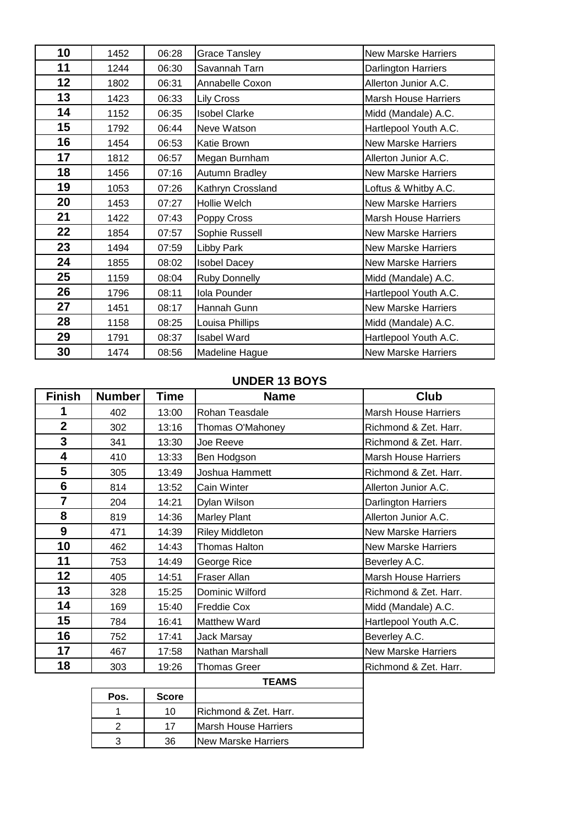| 10 | 1452 | 06:28 | <b>Grace Tansley</b> | <b>New Marske Harriers</b>  |
|----|------|-------|----------------------|-----------------------------|
| 11 | 1244 | 06:30 | Savannah Tarn        | Darlington Harriers         |
| 12 | 1802 | 06:31 | Annabelle Coxon      | Allerton Junior A.C.        |
| 13 | 1423 | 06:33 | Lily Cross           | <b>Marsh House Harriers</b> |
| 14 | 1152 | 06:35 | <b>Isobel Clarke</b> | Midd (Mandale) A.C.         |
| 15 | 1792 | 06:44 | Neve Watson          | Hartlepool Youth A.C.       |
| 16 | 1454 | 06:53 | Katie Brown          | <b>New Marske Harriers</b>  |
| 17 | 1812 | 06:57 | Megan Burnham        | Allerton Junior A.C.        |
| 18 | 1456 | 07:16 | Autumn Bradley       | <b>New Marske Harriers</b>  |
| 19 | 1053 | 07:26 | Kathryn Crossland    | Loftus & Whitby A.C.        |
| 20 | 1453 | 07:27 | Hollie Welch         | <b>New Marske Harriers</b>  |
| 21 | 1422 | 07:43 | Poppy Cross          | Marsh House Harriers        |
| 22 | 1854 | 07:57 | Sophie Russell       | <b>New Marske Harriers</b>  |
| 23 | 1494 | 07:59 | Libby Park           | <b>New Marske Harriers</b>  |
| 24 | 1855 | 08:02 | <b>Isobel Dacey</b>  | <b>New Marske Harriers</b>  |
| 25 | 1159 | 08:04 | <b>Ruby Donnelly</b> | Midd (Mandale) A.C.         |
| 26 | 1796 | 08:11 | Iola Pounder         | Hartlepool Youth A.C.       |
| 27 | 1451 | 08:17 | Hannah Gunn          | <b>New Marske Harriers</b>  |
| 28 | 1158 | 08:25 | Louisa Phillips      | Midd (Mandale) A.C.         |
| 29 | 1791 | 08:37 | <b>Isabel Ward</b>   | Hartlepool Youth A.C.       |
| 30 | 1474 | 08:56 | Madeline Hague       | <b>New Marske Harriers</b>  |

#### **UNDER 13 BOYS**

| <b>Finish</b>  | <b>Number</b> | <b>Time</b> | <b>Name</b>            | <b>Club</b>                 |
|----------------|---------------|-------------|------------------------|-----------------------------|
|                | 402           | 13:00       | Rohan Teasdale         | <b>Marsh House Harriers</b> |
| $\overline{2}$ | 302           | 13:16       | Thomas O'Mahoney       | Richmond & Zet. Harr.       |
| 3              | 341           | 13:30       | Joe Reeve              | Richmond & Zet. Harr.       |
| 4              | 410           | 13:33       | Ben Hodgson            | <b>Marsh House Harriers</b> |
| 5              | 305           | 13:49       | Joshua Hammett         | Richmond & Zet. Harr.       |
| 6              | 814           | 13:52       | Cain Winter            | Allerton Junior A.C.        |
| $\overline{7}$ | 204           | 14:21       | Dylan Wilson           | Darlington Harriers         |
| 8              | 819           | 14:36       | <b>Marley Plant</b>    | Allerton Junior A.C.        |
| 9              | 471           | 14:39       | <b>Riley Middleton</b> | <b>New Marske Harriers</b>  |
| 10             | 462           | 14:43       | Thomas Halton          | <b>New Marske Harriers</b>  |
| 11             | 753           | 14:49       | George Rice            | Beverley A.C.               |
| 12             | 405           | 14:51       | Fraser Allan           | <b>Marsh House Harriers</b> |
| 13             | 328           | 15:25       | Dominic Wilford        | Richmond & Zet. Harr.       |
| 14             | 169           | 15:40       | <b>Freddie Cox</b>     | Midd (Mandale) A.C.         |
| 15             | 784           | 16:41       | <b>Matthew Ward</b>    | Hartlepool Youth A.C.       |
| 16             | 752           | 17:41       | <b>Jack Marsay</b>     | Beverley A.C.               |
| 17             | 467           | 17:58       | Nathan Marshall        | <b>New Marske Harriers</b>  |
| 18             | 303           | 19:26       | <b>Thomas Greer</b>    | Richmond & Zet. Harr.       |
|                |               |             | <b>TEAMS</b>           |                             |
|                |               |             |                        |                             |

| Pos. | <b>Score</b> |                              |
|------|--------------|------------------------------|
|      | 10           | IRichmond & Zet. Harr.       |
|      | 17           | <b>Marsh House Harriers</b>  |
|      | 36.          | <b>I</b> New Marske Harriers |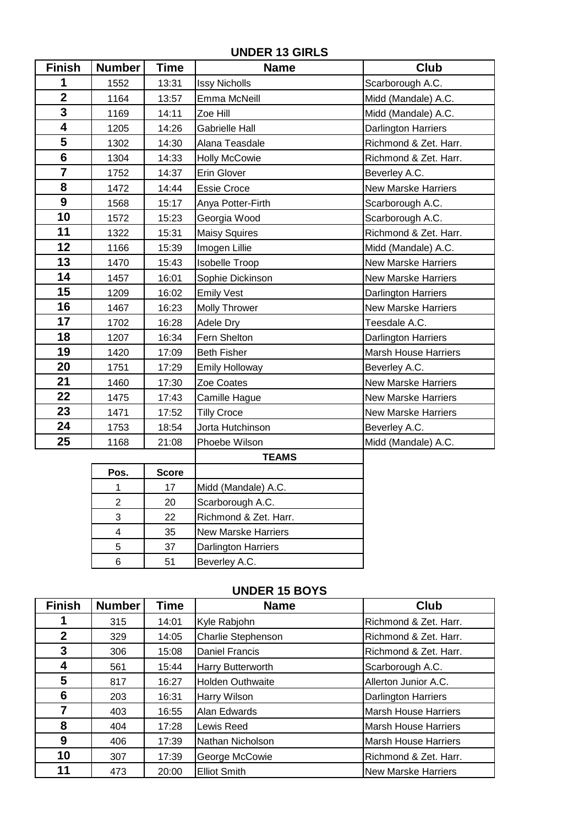**UNDER 13 GIRLS**

| <b>Finish</b>           | Number | Time  | <b>Name</b>           | <b>Club</b>                 |
|-------------------------|--------|-------|-----------------------|-----------------------------|
| 1                       | 1552   | 13:31 | <b>Issy Nicholls</b>  | Scarborough A.C.            |
| $\overline{\mathbf{2}}$ | 1164   | 13:57 | Emma McNeill          | Midd (Mandale) A.C.         |
| 3                       | 1169   | 14:11 | Zoe Hill              | Midd (Mandale) A.C.         |
| 4                       | 1205   | 14:26 | <b>Gabrielle Hall</b> | Darlington Harriers         |
| 5                       | 1302   | 14:30 | Alana Teasdale        | Richmond & Zet. Harr.       |
| $6\phantom{1}$          | 1304   | 14:33 | <b>Holly McCowie</b>  | Richmond & Zet. Harr.       |
| $\overline{7}$          | 1752   | 14:37 | Erin Glover           | Beverley A.C.               |
| 8                       | 1472   | 14:44 | <b>Essie Croce</b>    | <b>New Marske Harriers</b>  |
| 9                       | 1568   | 15:17 | Anya Potter-Firth     | Scarborough A.C.            |
| 10                      | 1572   | 15:23 | Georgia Wood          | Scarborough A.C.            |
| 11                      | 1322   | 15:31 | <b>Maisy Squires</b>  | Richmond & Zet. Harr.       |
| 12                      | 1166   | 15:39 | Imogen Lillie         | Midd (Mandale) A.C.         |
| 13                      | 1470   | 15:43 | <b>Isobelle Troop</b> | <b>New Marske Harriers</b>  |
| 14                      | 1457   | 16:01 | Sophie Dickinson      | <b>New Marske Harriers</b>  |
| 15                      | 1209   | 16:02 | <b>Emily Vest</b>     | Darlington Harriers         |
| 16                      | 1467   | 16:23 | <b>Molly Thrower</b>  | <b>New Marske Harriers</b>  |
| 17                      | 1702   | 16:28 | Adele Dry             | Teesdale A.C.               |
| 18                      | 1207   | 16:34 | Fern Shelton          | Darlington Harriers         |
| 19                      | 1420   | 17:09 | <b>Beth Fisher</b>    | <b>Marsh House Harriers</b> |
| 20                      | 1751   | 17:29 | <b>Emily Holloway</b> | Beverley A.C.               |
| 21                      | 1460   | 17:30 | Zoe Coates            | <b>New Marske Harriers</b>  |
| 22                      | 1475   | 17:43 | Camille Hague         | <b>New Marske Harriers</b>  |
| 23                      | 1471   | 17:52 | <b>Tilly Croce</b>    | <b>New Marske Harriers</b>  |
| 24                      | 1753   | 18:54 | Jorta Hutchinson      | Beverley A.C.               |
| 25                      | 1168   | 21:08 | Phoebe Wilson         | Midd (Mandale) A.C.         |
|                         |        |       | <b>TEAMS</b>          |                             |

|      |              | ட்கங்                      |
|------|--------------|----------------------------|
| Pos. | <b>Score</b> |                            |
|      | 17           | Midd (Mandale) A.C.        |
|      | 20           | Scarborough A.C.           |
| 3    | 22           | Richmond & Zet. Harr.      |
|      | 35           | <b>New Marske Harriers</b> |
| 5    | 37           | <b>Darlington Harriers</b> |
|      | 51           | Beverley A.C.              |

#### **UNDER 15 BOYS**

| <b>Finish</b> | <b>Number</b> | <b>Time</b> | <b>Name</b>             | Club                        |
|---------------|---------------|-------------|-------------------------|-----------------------------|
|               | 315           | 14:01       | Kyle Rabjohn            | Richmond & Zet. Harr.       |
| $\mathbf{2}$  | 329           | 14:05       | Charlie Stephenson      | Richmond & Zet. Harr.       |
| 3             | 306           | 15:08       | <b>Daniel Francis</b>   | Richmond & Zet. Harr.       |
| 4             | 561           | 15:44       | Harry Butterworth       | Scarborough A.C.            |
| 5             | 817           | 16:27       | <b>Holden Outhwaite</b> | Allerton Junior A.C.        |
| 6             | 203           | 16:31       | <b>Harry Wilson</b>     | <b>Darlington Harriers</b>  |
| 7             | 403           | 16:55       | Alan Edwards            | <b>Marsh House Harriers</b> |
| 8             | 404           | 17:28       | Lewis Reed              | <b>Marsh House Harriers</b> |
| 9             | 406           | 17:39       | Nathan Nicholson        | <b>Marsh House Harriers</b> |
| 10            | 307           | 17:39       | George McCowie          | Richmond & Zet. Harr.       |
| 11            | 473           | 20:00       | <b>Elliot Smith</b>     | <b>New Marske Harriers</b>  |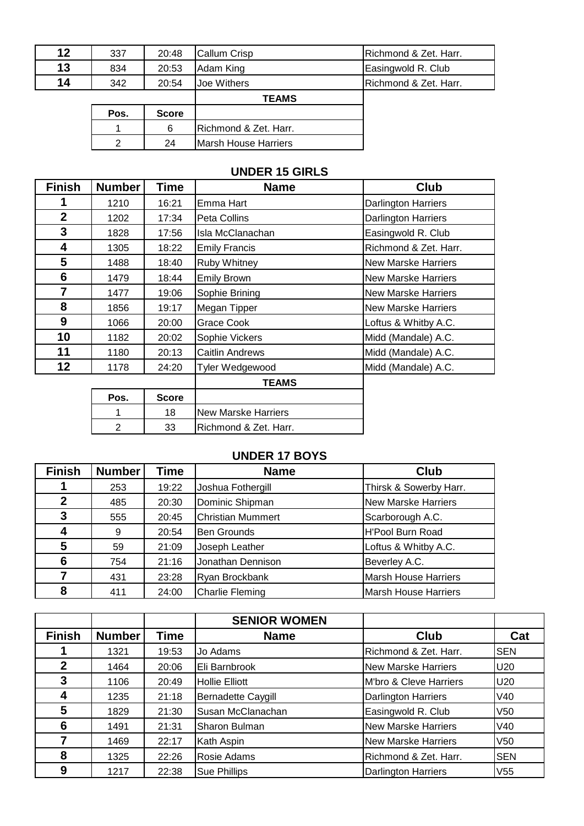| 12 | 337 | 20:48 | <b>Callum Crisp</b> | <b>IRichmond &amp; Zet. Harr.</b> |
|----|-----|-------|---------------------|-----------------------------------|
| 13 | 834 | 20:53 | Adam King           | Easingwold R. Club                |
| 14 | 342 | 20:54 | Joe Withers         | <b>IRichmond &amp; Zet. Harr.</b> |
|    |     |       | <b>TEAMS</b>        |                                   |

| Pos. | Score |                                   |
|------|-------|-----------------------------------|
|      |       | <b>IRichmond &amp; Zet. Harr.</b> |
|      |       | Marsh House Harriers              |

## **UNDER 15 GIRLS**

| <b>Finish</b>  | <b>Number</b>  | Time         | <b>Name</b>                | <b>Club</b>                |
|----------------|----------------|--------------|----------------------------|----------------------------|
| 1              | 1210           | 16:21        | Emma Hart                  | Darlington Harriers        |
| $\overline{2}$ | 1202           | 17:34        | Peta Collins               | <b>Darlington Harriers</b> |
| 3              | 1828           | 17:56        | Isla McClanachan           | Easingwold R. Club         |
| 4              | 1305           | 18:22        | <b>Emily Francis</b>       | Richmond & Zet. Harr.      |
| 5              | 1488           | 18:40        | <b>Ruby Whitney</b>        | <b>New Marske Harriers</b> |
| 6              | 1479           | 18:44        | <b>Emily Brown</b>         | <b>New Marske Harriers</b> |
| $\overline{7}$ | 1477           | 19:06        | Sophie Brining             | <b>New Marske Harriers</b> |
| 8              | 1856           | 19:17        | Megan Tipper               | <b>New Marske Harriers</b> |
| 9              | 1066           | 20:00        | Grace Cook                 | Loftus & Whitby A.C.       |
| 10             | 1182           | 20:02        | Sophie Vickers             | Midd (Mandale) A.C.        |
| 11             | 1180           | 20:13        | <b>Caitlin Andrews</b>     | Midd (Mandale) A.C.        |
| 12             | 1178           | 24:20        | Tyler Wedgewood            | Midd (Mandale) A.C.        |
|                |                |              | <b>TEAMS</b>               |                            |
|                | Pos.           | <b>Score</b> |                            |                            |
|                |                | 18           | <b>New Marske Harriers</b> |                            |
|                | $\overline{2}$ | 33           | Richmond & Zet. Harr.      |                            |

#### **UNDER 17 BOYS**

| <b>Finish</b> | <b>Number</b> | Time  | <b>Name</b>              | Club                        |
|---------------|---------------|-------|--------------------------|-----------------------------|
|               | 253           | 19:22 | Joshua Fothergill        | Thirsk & Sowerby Harr.      |
| $\mathbf 2$   | 485           | 20:30 | Dominic Shipman          | <b>New Marske Harriers</b>  |
| 3             | 555           | 20:45 | <b>Christian Mummert</b> | Scarborough A.C.            |
| 4             | 9             | 20:54 | <b>Ben Grounds</b>       | <b>H'Pool Burn Road</b>     |
| 5             | 59            | 21:09 | Joseph Leather           | Loftus & Whitby A.C.        |
| 6             | 754           | 21:16 | Jonathan Dennison        | Beverley A.C.               |
|               | 431           | 23:28 | Ryan Brockbank           | <b>Marsh House Harriers</b> |
| 8             | 411           | 24:00 | <b>Charlie Fleming</b>   | <b>Marsh House Harriers</b> |

|               |               |       | <b>SENIOR WOMEN</b>       |                            |                 |
|---------------|---------------|-------|---------------------------|----------------------------|-----------------|
| <b>Finish</b> | <b>Number</b> | Time  | <b>Name</b>               | Club                       | Cat             |
|               | 1321          | 19:53 | Jo Adams                  | Richmond & Zet. Harr.      | <b>SEN</b>      |
| $\mathbf{2}$  | 1464          | 20:06 | Eli Barnbrook             | <b>New Marske Harriers</b> | U20             |
| 3             | 1106          | 20:49 | <b>Hollie Elliott</b>     | M'bro & Cleve Harriers     | U20             |
| 4             | 1235          | 21:18 | <b>Bernadette Caygill</b> | <b>Darlington Harriers</b> | V40             |
| 5             | 1829          | 21:30 | Susan McClanachan         | Easingwold R. Club         | V <sub>50</sub> |
| 6             | 1491          | 21:31 | Sharon Bulman             | <b>New Marske Harriers</b> | V40             |
|               | 1469          | 22:17 | Kath Aspin                | <b>New Marske Harriers</b> | V <sub>50</sub> |
| 8             | 1325          | 22:26 | Rosie Adams               | Richmond & Zet. Harr.      | <b>SEN</b>      |
| 9             | 1217          | 22:38 | Sue Phillips              | <b>Darlington Harriers</b> | V <sub>55</sub> |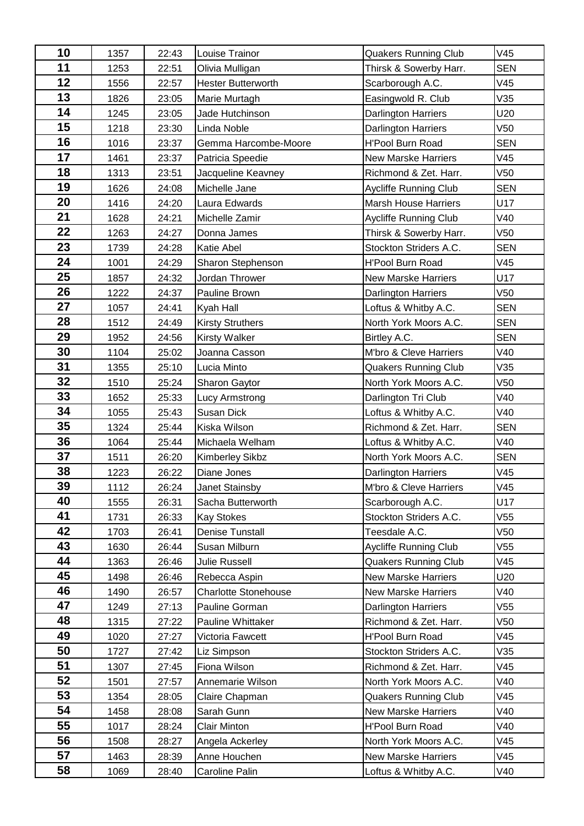| 10       | 1357         | 22:43 | Louise Trainor              | Quakers Running Club                           | V45             |
|----------|--------------|-------|-----------------------------|------------------------------------------------|-----------------|
| 11       | 1253         | 22:51 | Olivia Mulligan             | Thirsk & Sowerby Harr.                         | <b>SEN</b>      |
| 12       | 1556         | 22:57 | <b>Hester Butterworth</b>   | Scarborough A.C.                               | V45             |
| 13       | 1826         | 23:05 | Marie Murtagh               | Easingwold R. Club                             | V35             |
| 14       | 1245         | 23:05 | Jade Hutchinson             | <b>Darlington Harriers</b>                     | U20             |
| 15       | 1218         | 23:30 | Linda Noble                 | Darlington Harriers                            | V50             |
| 16       | 1016         | 23:37 | Gemma Harcombe-Moore        | H'Pool Burn Road                               | <b>SEN</b>      |
| 17       | 1461         | 23:37 | Patricia Speedie            | <b>New Marske Harriers</b>                     | V45             |
| 18       | 1313         | 23:51 | Jacqueline Keavney          | Richmond & Zet. Harr.                          | V <sub>50</sub> |
| 19       | 1626         | 24:08 | Michelle Jane               | Aycliffe Running Club                          | <b>SEN</b>      |
| 20       | 1416         | 24:20 | Laura Edwards               | <b>Marsh House Harriers</b>                    | U17             |
| 21       | 1628         | 24:21 | Michelle Zamir              | Aycliffe Running Club                          | V40             |
| 22       | 1263         | 24:27 | Donna James                 | Thirsk & Sowerby Harr.                         | V50             |
| 23       | 1739         | 24:28 | <b>Katie Abel</b>           | Stockton Striders A.C.                         | <b>SEN</b>      |
| 24       | 1001         | 24:29 | Sharon Stephenson           | <b>H'Pool Burn Road</b>                        | V45             |
| 25       | 1857         | 24:32 | Jordan Thrower              | <b>New Marske Harriers</b>                     | U17             |
| 26       | 1222         | 24:37 | Pauline Brown               | <b>Darlington Harriers</b>                     | V50             |
| 27       | 1057         | 24:41 | Kyah Hall                   | Loftus & Whitby A.C.                           | <b>SEN</b>      |
| 28       | 1512         | 24:49 | <b>Kirsty Struthers</b>     | North York Moors A.C.                          | <b>SEN</b>      |
| 29       | 1952         | 24:56 | <b>Kirsty Walker</b>        | Birtley A.C.                                   | <b>SEN</b>      |
| 30       | 1104         | 25:02 | Joanna Casson               | M'bro & Cleve Harriers                         | V40             |
| 31       | 1355         | 25:10 | Lucia Minto                 | <b>Quakers Running Club</b>                    | V35             |
| 32       | 1510         | 25:24 | Sharon Gaytor               | North York Moors A.C.                          | V50             |
| 33       | 1652         | 25:33 | <b>Lucy Armstrong</b>       | Darlington Tri Club                            | V40             |
| 34       | 1055         | 25:43 | <b>Susan Dick</b>           | Loftus & Whitby A.C.                           | V40             |
| 35       | 1324         | 25:44 | Kiska Wilson                | Richmond & Zet. Harr.                          | <b>SEN</b>      |
| 36       | 1064         | 25:44 | Michaela Welham             | Loftus & Whitby A.C.                           | V40             |
| 37       | 1511         | 26:20 | <b>Kimberley Sikbz</b>      | North York Moors A.C.                          | <b>SEN</b>      |
| 38       | 1223         | 26:22 | Diane Jones                 | Darlington Harriers                            | V45             |
| 39       | 1112         | 26:24 | Janet Stainsby              | M'bro & Cleve Harriers                         | V45             |
| 40       | 1555         | 26:31 | Sacha Butterworth           | Scarborough A.C.                               | U17             |
| 41       | 1731         | 26:33 | <b>Kay Stokes</b>           | Stockton Striders A.C.                         | V55             |
| 42       | 1703         | 26:41 | Denise Tunstall             | Teesdale A.C.                                  | V50             |
| 43       | 1630         | 26:44 | Susan Milburn               | <b>Aycliffe Running Club</b>                   | V55             |
| 44       | 1363         | 26:46 | Julie Russell               | <b>Quakers Running Club</b>                    | V45             |
| 45<br>46 | 1498         | 26:46 | Rebecca Aspin               | <b>New Marske Harriers</b>                     | U20             |
| 47       | 1490         | 26:57 | <b>Charlotte Stonehouse</b> | <b>New Marske Harriers</b>                     | V40             |
| 48       | 1249         | 27:13 | Pauline Gorman              | Darlington Harriers                            | V55             |
| 49       | 1315         | 27:22 | Pauline Whittaker           | Richmond & Zet. Harr.                          | V50             |
| 50       | 1020         | 27:27 | Victoria Fawcett            | H'Pool Burn Road                               | V45             |
| 51       | 1727         | 27:42 | Liz Simpson                 | Stockton Striders A.C.                         | V35<br>V45      |
| 52       | 1307<br>1501 | 27:45 | Fiona Wilson                | Richmond & Zet. Harr.                          | V40             |
| 53       |              | 27:57 | Annemarie Wilson            | North York Moors A.C.                          | V45             |
| 54       | 1354         | 28:05 | Claire Chapman              | <b>Quakers Running Club</b>                    | V40             |
| 55       | 1458         | 28:08 | Sarah Gunn                  | <b>New Marske Harriers</b><br>H'Pool Burn Road | V40             |
| 56       | 1017         | 28:24 | <b>Clair Minton</b>         |                                                |                 |
| 57       | 1508         | 28:27 | Angela Ackerley             | North York Moors A.C.                          | V45             |
|          | 1463         | 28:39 | Anne Houchen                | <b>New Marske Harriers</b>                     | V45             |
| 58       | 1069         | 28:40 | Caroline Palin              | Loftus & Whitby A.C.                           | V40             |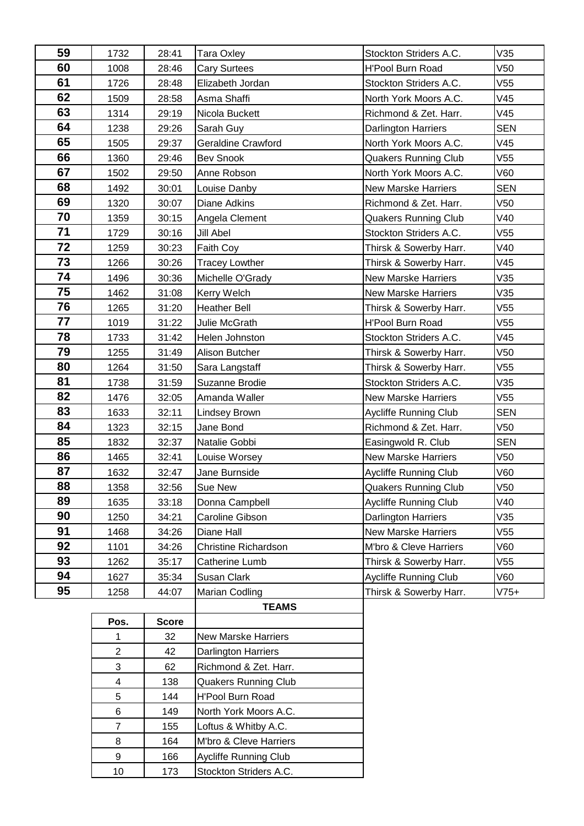| 59 | 1732                    | 28:41        | Stockton Striders A.C.<br>Tara Oxley   |                              | V35             |
|----|-------------------------|--------------|----------------------------------------|------------------------------|-----------------|
| 60 | 1008                    | 28:46        | <b>Cary Surtees</b>                    | <b>H'Pool Burn Road</b>      | V <sub>50</sub> |
| 61 | 1726                    | 28:48        | Elizabeth Jordan                       | Stockton Striders A.C.       | V <sub>55</sub> |
| 62 | 1509                    | 28:58        | Asma Shaffi                            | North York Moors A.C.        | V45             |
| 63 | 1314                    | 29:19        | Nicola Buckett                         | Richmond & Zet. Harr.        | V45             |
| 64 | 1238                    | 29:26        | Sarah Guy                              | Darlington Harriers          | <b>SEN</b>      |
| 65 | 1505                    | 29:37        | Geraldine Crawford                     | North York Moors A.C.        | V45             |
| 66 | 1360                    | 29:46        | <b>Bev Snook</b>                       | <b>Quakers Running Club</b>  | V <sub>55</sub> |
| 67 | 1502                    | 29:50        | Anne Robson                            | North York Moors A.C.        | V60             |
| 68 | 1492                    | 30:01        | Louise Danby                           | <b>New Marske Harriers</b>   | <b>SEN</b>      |
| 69 | 1320                    | 30:07        | <b>Diane Adkins</b>                    | Richmond & Zet. Harr.        | V <sub>50</sub> |
| 70 | 1359                    | 30:15        | Angela Clement                         | <b>Quakers Running Club</b>  | V40             |
| 71 | 1729                    | 30:16        | Jill Abel                              | Stockton Striders A.C.       | V <sub>55</sub> |
| 72 | 1259                    | 30:23        | Faith Coy                              | Thirsk & Sowerby Harr.       | V40             |
| 73 | 1266                    | 30:26        | <b>Tracey Lowther</b>                  | Thirsk & Sowerby Harr.       | V45             |
| 74 | 1496                    | 30:36        | Michelle O'Grady                       | <b>New Marske Harriers</b>   | V35             |
| 75 | 1462                    | 31:08        | Kerry Welch                            | <b>New Marske Harriers</b>   | V35             |
| 76 | 1265                    | 31:20        | <b>Heather Bell</b>                    | Thirsk & Sowerby Harr.       | V55             |
| 77 | 1019                    | 31:22        | Julie McGrath                          | H'Pool Burn Road             | V <sub>55</sub> |
| 78 | 1733                    | 31:42        | Helen Johnston                         | Stockton Striders A.C.       | V45             |
| 79 | 1255                    | 31:49        | Alison Butcher                         | Thirsk & Sowerby Harr.       | V <sub>50</sub> |
| 80 | 1264                    | 31:50        | Sara Langstaff                         | Thirsk & Sowerby Harr.       | V <sub>55</sub> |
| 81 | 1738                    | 31:59        | Suzanne Brodie                         | Stockton Striders A.C.       | V35             |
| 82 | 1476                    | 32:05        | Amanda Waller                          | <b>New Marske Harriers</b>   | V <sub>55</sub> |
| 83 | 1633                    | 32:11        | <b>Lindsey Brown</b>                   | Aycliffe Running Club        | <b>SEN</b>      |
| 84 | 1323                    | 32:15        | Jane Bond                              | Richmond & Zet. Harr.        | V <sub>50</sub> |
| 85 | 1832                    | 32:37        | Natalie Gobbi                          | Easingwold R. Club           | <b>SEN</b>      |
| 86 | 1465                    | 32:41        | Louise Worsey                          | <b>New Marske Harriers</b>   | V <sub>50</sub> |
| 87 | 1632                    | 32:47        | Jane Burnside                          | <b>Aycliffe Running Club</b> | V60             |
| 88 | 1358                    | 32:56        | <b>Quakers Running Club</b><br>Sue New |                              | V <sub>50</sub> |
| 89 | 1635                    | 33:18        | Donna Campbell                         | Aycliffe Running Club        | V40             |
| 90 | 1250                    | 34:21        | Caroline Gibson                        | <b>Darlington Harriers</b>   | V35             |
| 91 | 1468                    | 34:26        | Diane Hall                             | <b>New Marske Harriers</b>   | V55             |
| 92 | 1101                    | 34:26        | <b>Christine Richardson</b>            | M'bro & Cleve Harriers       | V60             |
| 93 | 1262                    | 35:17        | Catherine Lumb                         | Thirsk & Sowerby Harr.       | V55             |
| 94 | 1627                    | 35:34        | Susan Clark                            | Aycliffe Running Club        | V60             |
| 95 | 1258                    | 44:07        | Marian Codling                         | Thirsk & Sowerby Harr.       | $V75+$          |
|    |                         |              | <b>TEAMS</b>                           |                              |                 |
|    | Pos.                    | <b>Score</b> |                                        |                              |                 |
|    | 1                       | 32           | <b>New Marske Harriers</b>             |                              |                 |
|    | $\overline{c}$          | 42           | <b>Darlington Harriers</b>             |                              |                 |
|    | 3                       | 62           | Richmond & Zet. Harr.                  |                              |                 |
|    | $\overline{\mathbf{4}}$ | 138          | <b>Quakers Running Club</b>            |                              |                 |
|    | 5                       | 144          | <b>H'Pool Burn Road</b>                |                              |                 |
|    | 6                       | 149          | North York Moors A.C.                  |                              |                 |
|    | $\overline{7}$          | 155          | Loftus & Whitby A.C.                   |                              |                 |
|    | 8                       | 164          | M'bro & Cleve Harriers                 |                              |                 |
|    | 9                       | 166          | <b>Aycliffe Running Club</b>           |                              |                 |
|    | 10                      | 173          | Stockton Striders A.C.                 |                              |                 |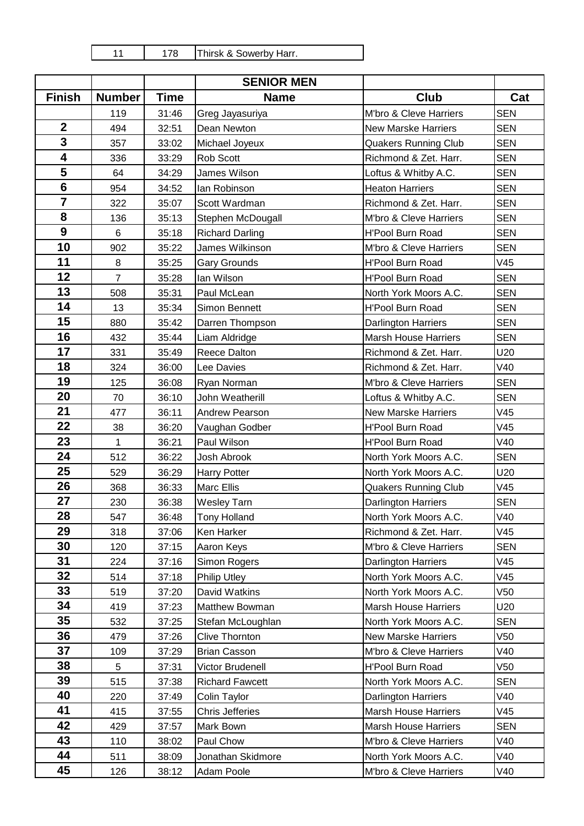| 1<br>◢ | 178 |
|--------|-----|
|        |     |
|        |     |

Thirsk & Sowerby Harr.

|                         |                |             | <b>SENIOR MEN</b>      |                             |            |
|-------------------------|----------------|-------------|------------------------|-----------------------------|------------|
| <b>Finish</b>           | <b>Number</b>  | <b>Time</b> | <b>Name</b>            | <b>Club</b>                 | Cat        |
|                         | 119            | 31:46       | Greg Jayasuriya        | M'bro & Cleve Harriers      | <b>SEN</b> |
| $\mathbf{2}$            | 494            | 32:51       | Dean Newton            | <b>New Marske Harriers</b>  | <b>SEN</b> |
| 3                       | 357            | 33:02       | Michael Joyeux         | <b>Quakers Running Club</b> | <b>SEN</b> |
| $\overline{\mathbf{4}}$ | 336            | 33:29       | Rob Scott              | Richmond & Zet. Harr.       | <b>SEN</b> |
| 5                       | 64             | 34:29       | James Wilson           | Loftus & Whitby A.C.        | <b>SEN</b> |
| $6\phantom{1}6$         | 954            | 34:52       | lan Robinson           | <b>Heaton Harriers</b>      | <b>SEN</b> |
| $\overline{\mathbf{7}}$ | 322            | 35:07       | Scott Wardman          | Richmond & Zet. Harr.       | <b>SEN</b> |
| 8                       | 136            | 35:13       | Stephen McDougall      | M'bro & Cleve Harriers      | <b>SEN</b> |
| 9                       | 6              | 35:18       | <b>Richard Darling</b> | <b>H'Pool Burn Road</b>     | <b>SEN</b> |
| 10                      | 902            | 35:22       | James Wilkinson        | M'bro & Cleve Harriers      | <b>SEN</b> |
| 11                      | 8              | 35:25       | <b>Gary Grounds</b>    | H'Pool Burn Road            | V45        |
| 12                      | $\overline{7}$ | 35:28       | lan Wilson             | H'Pool Burn Road            | <b>SEN</b> |
| 13                      | 508            | 35:31       | Paul McLean            | North York Moors A.C.       | <b>SEN</b> |
| 14                      | 13             | 35:34       | Simon Bennett          | <b>H'Pool Burn Road</b>     | <b>SEN</b> |
| 15                      | 880            | 35:42       | Darren Thompson        | Darlington Harriers         | <b>SEN</b> |
| 16                      | 432            | 35:44       | Liam Aldridge          | <b>Marsh House Harriers</b> | <b>SEN</b> |
| 17                      | 331            | 35:49       | Reece Dalton           | Richmond & Zet. Harr.       | U20        |
| 18                      | 324            | 36:00       | Lee Davies             | Richmond & Zet. Harr.       | V40        |
| 19                      | 125            | 36:08       | Ryan Norman            | M'bro & Cleve Harriers      | <b>SEN</b> |
| 20                      | 70             | 36:10       | John Weatherill        | Loftus & Whitby A.C.        | <b>SEN</b> |
| 21                      | 477            | 36:11       | Andrew Pearson         | <b>New Marske Harriers</b>  | V45        |
| 22                      | 38             | 36:20       | Vaughan Godber         | H'Pool Burn Road            | V45        |
| 23                      | $\mathbf{1}$   | 36:21       | Paul Wilson            | H'Pool Burn Road            | V40        |
| 24                      | 512            | 36:22       | Josh Abrook            | North York Moors A.C.       | <b>SEN</b> |
| 25                      | 529            | 36:29       | <b>Harry Potter</b>    | North York Moors A.C.       | U20        |
| 26                      | 368            | 36:33       | Marc Ellis             | <b>Quakers Running Club</b> | V45        |
| 27                      | 230            | 36:38       | <b>Wesley Tarn</b>     | Darlington Harriers         | <b>SEN</b> |
| 28                      | 547            | 36:48       | <b>Tony Holland</b>    | North York Moors A.C.       | V40        |
| 29                      | 318            | 37:06       | Ken Harker             | Richmond & Zet. Harr.       | V45        |
| 30                      | 120            | 37:15       | Aaron Keys             | M'bro & Cleve Harriers      | <b>SEN</b> |
| 31                      | 224            | 37:16       | Simon Rogers           | <b>Darlington Harriers</b>  | V45        |
| 32                      | 514            | 37:18       | <b>Philip Utley</b>    | North York Moors A.C.       | V45        |
| 33                      | 519            | 37:20       | David Watkins          | North York Moors A.C.       | V50        |
| 34                      | 419            | 37:23       | Matthew Bowman         | <b>Marsh House Harriers</b> | U20        |
| 35                      | 532            | 37:25       | Stefan McLoughlan      | North York Moors A.C.       | <b>SEN</b> |
| 36                      | 479            | 37:26       | <b>Clive Thornton</b>  | <b>New Marske Harriers</b>  | V50        |
| 37                      | 109            | 37:29       | <b>Brian Casson</b>    | M'bro & Cleve Harriers      | V40        |
| 38                      | 5              | 37:31       | Victor Brudenell       | H'Pool Burn Road            | V50        |
| 39                      | 515            | 37:38       | <b>Richard Fawcett</b> | North York Moors A.C.       | <b>SEN</b> |
| 40                      | 220            | 37:49       | Colin Taylor           | <b>Darlington Harriers</b>  | V40        |
| 41                      | 415            | 37:55       | <b>Chris Jefferies</b> | <b>Marsh House Harriers</b> | V45        |
| 42                      | 429            | 37:57       | Mark Bown              | <b>Marsh House Harriers</b> | <b>SEN</b> |
| 43                      | 110            | 38:02       | Paul Chow              | M'bro & Cleve Harriers      | V40        |
| 44                      | 511            | 38:09       | Jonathan Skidmore      | North York Moors A.C.       | V40        |
| 45                      | 126            | 38:12       | Adam Poole             | M'bro & Cleve Harriers      | V40        |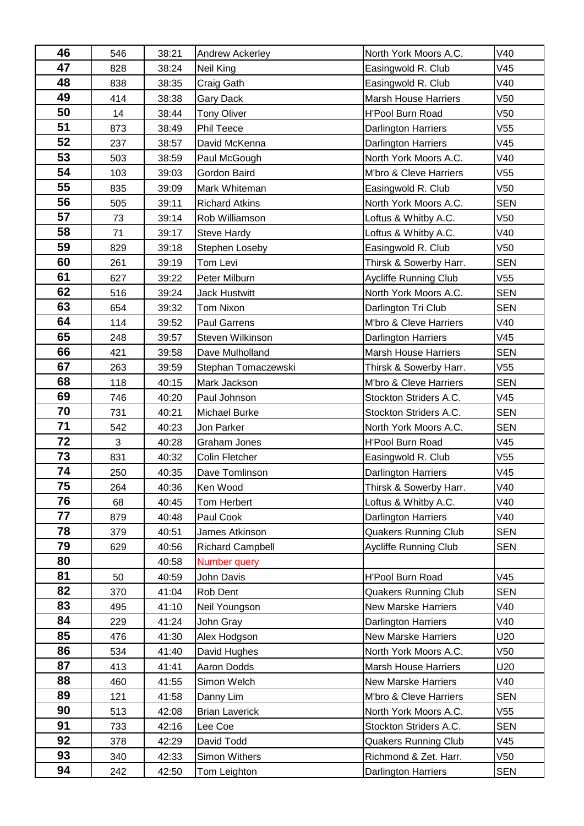| 46       | 546        | 38:21          | Andrew Ackerley                  | North York Moors A.C.                                | V40                    |
|----------|------------|----------------|----------------------------------|------------------------------------------------------|------------------------|
| 47       | 828        | 38:24          | Neil King                        | Easingwold R. Club                                   | V45                    |
| 48       | 838        | 38:35          | Craig Gath                       | Easingwold R. Club                                   | V40                    |
| 49       | 414        | 38:38          | Gary Dack                        | <b>Marsh House Harriers</b>                          | V <sub>50</sub>        |
| 50       | 14         | 38:44          | <b>Tony Oliver</b>               | <b>H'Pool Burn Road</b>                              | V <sub>50</sub>        |
| 51       | 873        | 38:49          | Phil Teece                       | <b>Darlington Harriers</b>                           | V <sub>55</sub>        |
| 52       | 237        | 38:57          | David McKenna                    | <b>Darlington Harriers</b>                           | V45                    |
| 53       | 503        | 38:59          | Paul McGough                     | North York Moors A.C.                                | V40                    |
| 54       | 103        | 39:03          | Gordon Baird                     | M'bro & Cleve Harriers                               | V <sub>55</sub>        |
| 55       | 835        | 39:09          | Mark Whiteman                    | Easingwold R. Club                                   | V <sub>50</sub>        |
| 56       | 505        | 39:11          | <b>Richard Atkins</b>            | North York Moors A.C.                                | <b>SEN</b>             |
| 57       | 73         | 39:14          | Rob Williamson                   | Loftus & Whitby A.C.                                 | V <sub>50</sub>        |
| 58       | 71         | 39:17          | <b>Steve Hardy</b>               | Loftus & Whitby A.C.                                 | V40                    |
| 59       | 829        | 39:18          | Stephen Loseby                   | Easingwold R. Club                                   | V <sub>50</sub>        |
| 60       | 261        | 39:19          | Tom Levi                         | Thirsk & Sowerby Harr.                               | <b>SEN</b>             |
| 61       | 627        | 39:22          | Peter Milburn                    | <b>Aycliffe Running Club</b>                         | V <sub>55</sub>        |
| 62       | 516        | 39:24          | <b>Jack Hustwitt</b>             | North York Moors A.C.                                | <b>SEN</b>             |
| 63       | 654        | 39:32          | Tom Nixon                        | Darlington Tri Club                                  | <b>SEN</b>             |
| 64       | 114        | 39:52          | Paul Garrens                     | M'bro & Cleve Harriers                               | V40                    |
| 65       | 248        | 39:57          | Steven Wilkinson                 | <b>Darlington Harriers</b>                           | V45                    |
| 66       | 421        | 39:58          | Dave Mulholland                  | <b>Marsh House Harriers</b>                          | <b>SEN</b>             |
| 67       | 263        | 39:59          | Stephan Tomaczewski              | Thirsk & Sowerby Harr.                               | V55                    |
| 68       | 118        | 40:15          | Mark Jackson                     | M'bro & Cleve Harriers                               | <b>SEN</b>             |
| 69       | 746        | 40:20          | Paul Johnson                     | Stockton Striders A.C.                               | V45                    |
| 70       | 731        | 40:21          | <b>Michael Burke</b>             | Stockton Striders A.C.                               | <b>SEN</b>             |
| 71       | 542        | 40:23          | Jon Parker                       | North York Moors A.C.                                | <b>SEN</b>             |
| 72       | 3          | 40:28          | Graham Jones                     | <b>H'Pool Burn Road</b>                              | V45                    |
| 73       | 831        | 40:32          | <b>Colin Fletcher</b>            | Easingwold R. Club                                   | V <sub>55</sub>        |
| 74       | 250        | 40:35          | Dave Tomlinson                   | Darlington Harriers                                  | V45                    |
| 75       | 264        | 40:36          | Ken Wood                         | Thirsk & Sowerby Harr.                               | V40                    |
| 76       | 68         | 40:45          | Tom Herbert                      | Loftus & Whitby A.C.                                 | V40                    |
| 77       | 879        | 40:48          | Paul Cook                        | <b>Darlington Harriers</b>                           | V40                    |
| 78       | 379        | 40:51          | James Atkinson                   | <b>Quakers Running Club</b>                          | <b>SEN</b>             |
| 79       | 629        | 40:56          | <b>Richard Campbell</b>          | <b>Aycliffe Running Club</b>                         | <b>SEN</b>             |
| 80       |            | 40:58          | Number query                     |                                                      |                        |
| 81       | 50         | 40:59          | John Davis                       | H'Pool Burn Road                                     | V45                    |
| 82       | 370        | 41:04          | Rob Dent                         | <b>Quakers Running Club</b>                          | <b>SEN</b>             |
| 83<br>84 | 495        | 41:10          | Neil Youngson                    | <b>New Marske Harriers</b>                           | V40                    |
| 85       | 229        | 41:24          | John Gray                        | <b>Darlington Harriers</b>                           | V40                    |
| 86       | 476        | 41:30          | Alex Hodgson                     | <b>New Marske Harriers</b>                           | U20                    |
| 87       | 534        | 41:40          | David Hughes<br>Aaron Dodds      | North York Moors A.C.<br><b>Marsh House Harriers</b> | V <sub>50</sub><br>U20 |
| 88       | 413<br>460 | 41:41          | Simon Welch                      |                                                      | V40                    |
| 89       | 121        | 41:55          |                                  | <b>New Marske Harriers</b><br>M'bro & Cleve Harriers | <b>SEN</b>             |
| 90       |            | 41:58          | Danny Lim                        |                                                      | V55                    |
| 91       | 513<br>733 | 42:08<br>42:16 | <b>Brian Laverick</b><br>Lee Coe | North York Moors A.C.<br>Stockton Striders A.C.      | <b>SEN</b>             |
| 92       |            | 42:29          | David Todd                       | <b>Quakers Running Club</b>                          | V45                    |
| 93       | 378        |                | Simon Withers                    | Richmond & Zet. Harr.                                | V50                    |
| 94       | 340        | 42:33          |                                  |                                                      |                        |
|          | 242        | 42:50          | Tom Leighton                     | Darlington Harriers                                  | <b>SEN</b>             |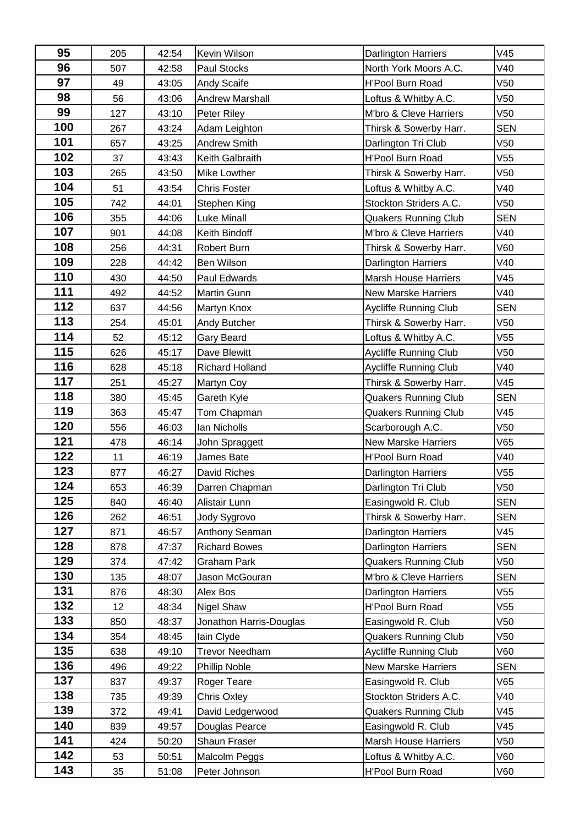| 95         | 205 | 42:54 | <b>Kevin Wilson</b>     | <b>Darlington Harriers</b>   | V45             |
|------------|-----|-------|-------------------------|------------------------------|-----------------|
| 96         | 507 | 42:58 | Paul Stocks             | North York Moors A.C.        | V40             |
| 97         | 49  | 43:05 | Andy Scaife             | <b>H'Pool Burn Road</b>      | V50             |
| 98         | 56  | 43:06 | <b>Andrew Marshall</b>  | Loftus & Whitby A.C.         | V <sub>50</sub> |
| 99         | 127 | 43:10 | Peter Riley             | M'bro & Cleve Harriers       | V <sub>50</sub> |
| 100        | 267 | 43:24 | Adam Leighton           | Thirsk & Sowerby Harr.       | <b>SEN</b>      |
| 101        | 657 | 43:25 | Andrew Smith            | Darlington Tri Club          | V <sub>50</sub> |
| 102        | 37  | 43:43 | Keith Galbraith         | H'Pool Burn Road             | V55             |
| 103        | 265 | 43:50 | Mike Lowther            | Thirsk & Sowerby Harr.       | V <sub>50</sub> |
| 104        | 51  | 43:54 | <b>Chris Foster</b>     | Loftus & Whitby A.C.         | V40             |
| 105        | 742 | 44:01 | Stephen King            | Stockton Striders A.C.       | V <sub>50</sub> |
| 106        | 355 | 44:06 | <b>Luke Minall</b>      | <b>Quakers Running Club</b>  | <b>SEN</b>      |
| 107        | 901 | 44:08 | Keith Bindoff           | M'bro & Cleve Harriers       | V40             |
| 108        | 256 | 44:31 | Robert Burn             | Thirsk & Sowerby Harr.       | V60             |
| 109        | 228 | 44:42 | <b>Ben Wilson</b>       | Darlington Harriers          | V40             |
| 110        | 430 | 44:50 | Paul Edwards            | <b>Marsh House Harriers</b>  | V45             |
| 111        | 492 | 44:52 | <b>Martin Gunn</b>      | <b>New Marske Harriers</b>   | V40             |
| 112        | 637 | 44:56 | Martyn Knox             | Aycliffe Running Club        | <b>SEN</b>      |
| 113        | 254 | 45:01 | Andy Butcher            | Thirsk & Sowerby Harr.       | V <sub>50</sub> |
| 114        | 52  | 45:12 | Gary Beard              | Loftus & Whitby A.C.         | V55             |
| 115        | 626 | 45:17 | Dave Blewitt            | Aycliffe Running Club        | V <sub>50</sub> |
| 116        | 628 | 45:18 | Richard Holland         | Aycliffe Running Club        | V40             |
| 117        | 251 | 45:27 | Martyn Coy              | Thirsk & Sowerby Harr.       | V45             |
| 118        | 380 | 45:45 | Gareth Kyle             | <b>Quakers Running Club</b>  | <b>SEN</b>      |
| 119        | 363 | 45:47 | Tom Chapman             | <b>Quakers Running Club</b>  | V45             |
| 120        | 556 | 46:03 | Ian Nicholls            | Scarborough A.C.             | V50             |
| 121        | 478 | 46:14 | John Spraggett          | <b>New Marske Harriers</b>   | V65             |
| 122        | 11  | 46:19 | James Bate              | <b>H'Pool Burn Road</b>      | V40             |
| 123        | 877 | 46:27 | David Riches            | Darlington Harriers          | V55             |
| 124        | 653 | 46:39 | Darren Chapman          | Darlington Tri Club          | V <sub>50</sub> |
| 125        | 840 | 46:40 | Alistair Lunn           | Easingwold R. Club           | <b>SEN</b>      |
| 126        | 262 | 46:51 | Jody Sygrovo            | Thirsk & Sowerby Harr.       | <b>SEN</b>      |
| 127        | 871 | 46:57 | Anthony Seaman          | Darlington Harriers          | V45             |
| 128        | 878 | 47:37 | <b>Richard Bowes</b>    | Darlington Harriers          | <b>SEN</b>      |
| 129        | 374 | 47:42 | <b>Graham Park</b>      | <b>Quakers Running Club</b>  | V50             |
| 130        | 135 | 48:07 | Jason McGouran          | M'bro & Cleve Harriers       | <b>SEN</b>      |
| 131        | 876 | 48:30 | Alex Bos                | Darlington Harriers          | V55             |
| 132        | 12  | 48:34 | <b>Nigel Shaw</b>       | <b>H'Pool Burn Road</b>      | V55             |
| 133        | 850 | 48:37 | Jonathon Harris-Douglas | Easingwold R. Club           | V50             |
| 134        | 354 | 48:45 | lain Clyde              | <b>Quakers Running Club</b>  | V50             |
| 135        | 638 | 49:10 | <b>Trevor Needham</b>   | <b>Aycliffe Running Club</b> | V60             |
| 136        | 496 | 49:22 | Phillip Noble           | New Marske Harriers          | <b>SEN</b>      |
| 137        | 837 | 49:37 | Roger Teare             | Easingwold R. Club           | V65             |
| 138<br>139 | 735 | 49:39 | <b>Chris Oxley</b>      | Stockton Striders A.C.       | V40             |
| 140        | 372 | 49:41 | David Ledgerwood        | <b>Quakers Running Club</b>  | V45             |
| 141        | 839 | 49:57 | Douglas Pearce          | Easingwold R. Club           | V45             |
| 142        | 424 | 50:20 | Shaun Fraser            | <b>Marsh House Harriers</b>  | V50             |
|            | 53  | 50:51 | Malcolm Peggs           | Loftus & Whitby A.C.         | V60             |
| 143        | 35  | 51:08 | Peter Johnson           | H'Pool Burn Road             | V60             |